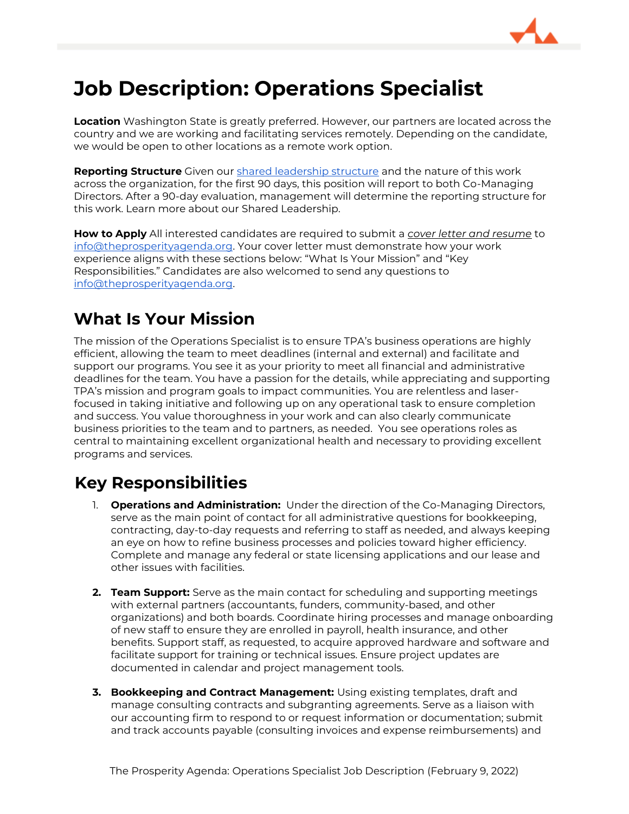

# **Job Description: Operations Specialist**

**Location** Washington State is greatly preferred. However, our partners are located across the country and we are working and facilitating services remotely. Depending on the candidate, we would be open to other locations as a remote work option.

**Reporting Structure** Given ou[r shared leadership structure](#page-2-0) and the nature of this work across the organization, for the first 90 days, this position will report to both Co-Managing Directors. After a 90-day evaluation, management will determine the reporting structure for this work. Learn more about our Shared Leadership.

**How to Apply** All interested candidates are required to submit a *cover letter and resume* to [info@theprosperityagenda.org.](mailto:info@theprosperityagenda.org) Your cover letter must demonstrate how your work experience aligns with these sections below: "What Is Your Mission" and "Key Responsibilities." Candidates are also welcomed to send any questions to [info@theprosperityagenda.org.](mailto:info@theprosperityagenda.org)

### **What Is Your Mission**

The mission of the Operations Specialist is to ensure TPA's business operations are highly efficient, allowing the team to meet deadlines (internal and external) and facilitate and support our programs. You see it as your priority to meet all financial and administrative deadlines for the team. You have a passion for the details, while appreciating and supporting TPA's mission and program goals to impact communities. You are relentless and laserfocused in taking initiative and following up on any operational task to ensure completion and success. You value thoroughness in your work and can also clearly communicate business priorities to the team and to partners, as needed. You see operations roles as central to maintaining excellent organizational health and necessary to providing excellent programs and services.

# **Key Responsibilities**

- 1. **Operations and Administration:** Under the direction of the Co-Managing Directors, serve as the main point of contact for all administrative questions for bookkeeping, contracting, day-to-day requests and referring to staff as needed, and always keeping an eye on how to refine business processes and policies toward higher efficiency. Complete and manage any federal or state licensing applications and our lease and other issues with facilities.
- **2. Team Support:** Serve as the main contact for scheduling and supporting meetings with external partners (accountants, funders, community-based, and other organizations) and both boards. Coordinate hiring processes and manage onboarding of new staff to ensure they are enrolled in payroll, health insurance, and other benefits. Support staff, as requested, to acquire approved hardware and software and facilitate support for training or technical issues. Ensure project updates are documented in calendar and project management tools.
- **3. Bookkeeping and Contract Management:** Using existing templates, draft and manage consulting contracts and subgranting agreements. Serve as a liaison with our accounting firm to respond to or request information or documentation; submit and track accounts payable (consulting invoices and expense reimbursements) and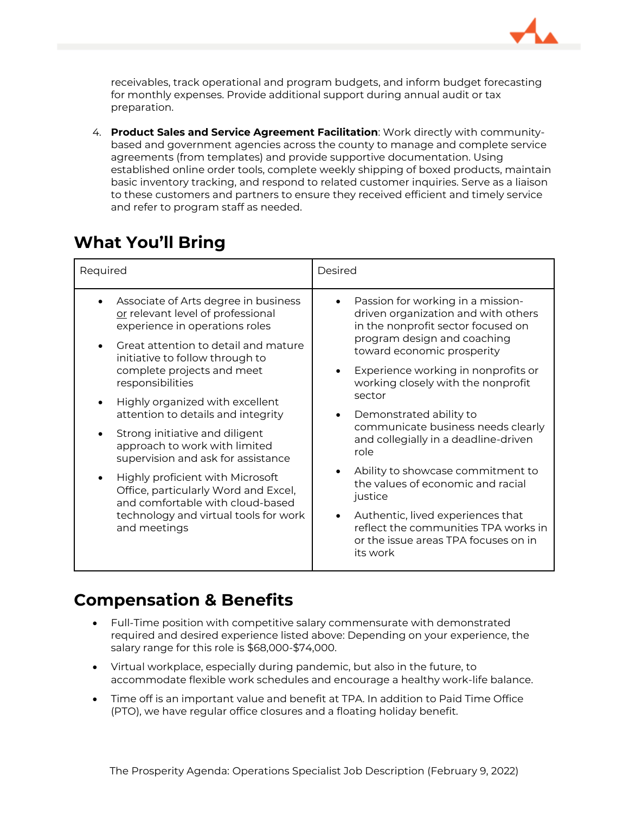

receivables, track operational and program budgets, and inform budget forecasting for monthly expenses. Provide additional support during annual audit or tax preparation.

4. **Product Sales and Service Agreement Facilitation**: Work directly with communitybased and government agencies across the county to manage and complete service agreements (from templates) and provide supportive documentation. Using established online order tools, complete weekly shipping of boxed products, maintain basic inventory tracking, and respond to related customer inquiries. Serve as a liaison to these customers and partners to ensure they received efficient and timely service and refer to program staff as needed.

## **What You'll Bring**

| Required                                                                                                     | Desired                                                                                                                       |
|--------------------------------------------------------------------------------------------------------------|-------------------------------------------------------------------------------------------------------------------------------|
| Associate of Arts degree in business<br>or relevant level of professional<br>experience in operations roles  | Passion for working in a mission-<br>driven organization and with others<br>in the nonprofit sector focused on                |
| Great attention to detail and mature<br>$\bullet$<br>initiative to follow through to                         | program design and coaching<br>toward economic prosperity                                                                     |
| complete projects and meet<br>responsibilities                                                               | Experience working in nonprofits or<br>working closely with the nonprofit                                                     |
| Highly organized with excellent<br>attention to details and integrity                                        | sector<br>Demonstrated ability to<br>communicate business needs clearly<br>and collegially in a deadline-driven<br>role       |
| Strong initiative and diligent<br>approach to work with limited<br>supervision and ask for assistance        |                                                                                                                               |
| Highly proficient with Microsoft<br>Office, particularly Word and Excel,<br>and comfortable with cloud-based | Ability to showcase commitment to<br>the values of economic and racial<br>justice                                             |
| technology and virtual tools for work<br>and meetings                                                        | Authentic, lived experiences that<br>reflect the communities TPA works in<br>or the issue areas TPA focuses on in<br>its work |

#### **Compensation & Benefits**

- Full-Time position with competitive salary commensurate with demonstrated required and desired experience listed above: Depending on your experience, the salary range for this role is \$68,000-\$74,000.
- Virtual workplace, especially during pandemic, but also in the future, to accommodate flexible work schedules and encourage a healthy work-life balance.
- Time off is an important value and benefit at TPA. In addition to Paid Time Office (PTO), we have regular office closures and a floating holiday benefit.